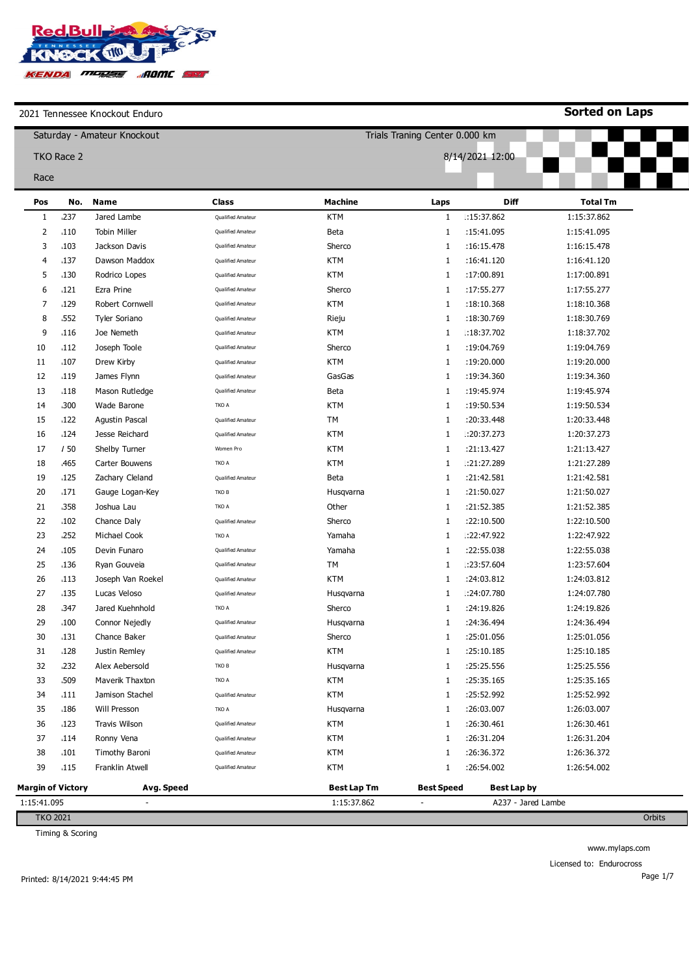

**Sorted on Laps**

|                          | Saturday - Amateur Knockout |                          |                   |                    | Trials Traning Center 0.000 km |                    |                 |        |  |
|--------------------------|-----------------------------|--------------------------|-------------------|--------------------|--------------------------------|--------------------|-----------------|--------|--|
|                          | TKO Race 2                  |                          |                   |                    |                                | 8/14/2021 12:00    |                 |        |  |
| Race                     |                             |                          |                   |                    |                                |                    |                 |        |  |
|                          | No.                         | Name                     | <b>Class</b>      | <b>Machine</b>     |                                | Diff               | <b>Total Tm</b> |        |  |
| Pos<br>1                 | .237                        | Jared Lambe              | Qualified Amateur | <b>KTM</b>         | Laps<br>1                      | :15:37.862         | 1:15:37.862     |        |  |
| 2                        | .110                        | <b>Tobin Miller</b>      | Qualified Amateur | Beta               | 1                              | :15:41.095         | 1:15:41.095     |        |  |
| 3                        | .103                        | Jackson Davis            | Qualified Amateur | Sherco             | 1                              | :16:15.478         | 1:16:15.478     |        |  |
| 4                        | 137                         | Dawson Maddox            | Qualified Amateur | <b>KTM</b>         | 1                              | :16:41.120         | 1:16:41.120     |        |  |
| 5                        | .130                        | Rodrico Lopes            | Qualified Amateur | <b>KTM</b>         | 1                              | :17:00.891         | 1:17:00.891     |        |  |
| 6                        | .121                        | Ezra Prine               | Qualified Amateur | Sherco             | 1                              | :17:55.277         | 1:17:55.277     |        |  |
| 7                        | 129                         | Robert Cornwell          | Qualified Amateur | <b>KTM</b>         | 1                              | :18:10.368         | 1:18:10.368     |        |  |
| 8                        | .552                        | Tyler Soriano            | Qualified Amateur | Rieju              | $1\,$                          | :18:30.769         | 1:18:30.769     |        |  |
| 9                        | .116                        | Joe Nemeth               | Qualified Amateur | <b>KTM</b>         | 1                              | :18:37.702         | 1:18:37.702     |        |  |
| 10                       | .112                        | Joseph Toole             | Qualified Amateur | Sherco             | 1                              | :19:04.769         | 1:19:04.769     |        |  |
| 11                       | .107                        | Drew Kirby               | Qualified Amateur | <b>KTM</b>         | $\mathbf{1}$                   | :19:20.000         | 1:19:20.000     |        |  |
| 12                       | .119                        | James Flynn              | Qualified Amateur | GasGas             | $\mathbf{1}$                   | :19:34.360         | 1:19:34.360     |        |  |
| 13                       | .118                        | Mason Rutledge           | Qualified Amateur | Beta               | 1                              | :19:45.974         | 1:19:45.974     |        |  |
| 14                       | .300                        | Wade Barone              | TKO A             | <b>KTM</b>         | 1                              | :19:50.534         | 1:19:50.534     |        |  |
| 15                       | 122                         | Agustin Pascal           | Qualified Amateur | TM                 | 1                              | :20:33.448         | 1:20:33.448     |        |  |
| 16                       | 124                         | Jesse Reichard           | Qualified Amateur | <b>KTM</b>         | 1                              | : 20:37.273        | 1:20:37.273     |        |  |
| 17                       | 150                         | Shelby Turner            | Women Pro         | <b>KTM</b>         | $\mathbf{1}$                   | :21:13.427         | 1:21:13.427     |        |  |
| 18                       | <b>465</b>                  | Carter Bouwens           | TKO A             | <b>KTM</b>         | 1                              | .21:27.289         | 1:21:27.289     |        |  |
| 19                       | .125                        | Zachary Cleland          | Qualified Amateur | Beta               | 1                              | :21:42.581         | 1:21:42.581     |        |  |
| 20                       | .171                        | Gauge Logan-Key          | TKO B             | Husqvarna          | $1\,$                          | :21:50.027         | 1:21:50.027     |        |  |
| 21                       | .358                        | Joshua Lau               | TKO A             | Other              | 1                              | :21:52.385         | 1:21:52.385     |        |  |
| 22                       | .102                        | Chance Daly              | Qualified Amateur | Sherco             | 1                              | :22:10.500         | 1:22:10.500     |        |  |
| 23                       | .252                        | Michael Cook             | TKO A             | Yamaha             | $\mathbf{1}$                   | :22:47.922         | 1:22:47.922     |        |  |
| 24                       | 105                         | Devin Funaro             | Qualified Amateur | Yamaha             | $\mathbf{1}$                   | :22:55.038         | 1:22:55.038     |        |  |
| 25                       | .136                        | Ryan Gouveia             | Qualified Amateur | TM                 | 1                              | .23:57.604         | 1:23:57.604     |        |  |
| 26                       | .113                        | Joseph Van Roekel        | Qualified Amateur | <b>KTM</b>         | 1                              | :24:03.812         | 1:24:03.812     |        |  |
| 27                       | .135                        | Lucas Veloso             | Qualified Amateur | Husqvarna          | 1                              | .:24:07.780        | 1:24:07.780     |        |  |
| 28                       | .347                        | Jared Kuehnhold          | TKO A             | Sherco             | 1                              | :24:19.826         | 1:24:19.826     |        |  |
| 29                       | .100                        | Connor Nejedly           | Qualified Amateur | Husqvarna          | 1                              | :24:36.494         | 1:24:36.494     |        |  |
| 30                       | .131                        | Chance Baker             | Qualified Amateur | Sherco             | 1                              | :25:01.056         | 1:25:01.056     |        |  |
| 31                       | 128                         | Justin Remley            | Qualified Amateur | <b>KTM</b>         | 1                              | :25:10.185         | 1:25:10.185     |        |  |
| 32                       | .232                        | Alex Aebersold           | TKO B             | Husqvarna          | $1\,$                          | :25:25.556         | 1:25:25.556     |        |  |
| 33                       | .509                        | Maverik Thaxton          | TKO A             | <b>KTM</b>         | 1                              | :25:35.165         | 1:25:35.165     |        |  |
| 34                       | .111                        | Jamison Stachel          | Qualified Amateur | <b>KTM</b>         | 1                              | :25:52.992         | 1:25:52.992     |        |  |
| 35                       | .186                        | Will Presson             | TKO A             | Husqvarna          | $\mathbf{1}$                   | :26:03.007         | 1:26:03.007     |        |  |
| 36                       | 123                         | <b>Travis Wilson</b>     | Qualified Amateur | KTM                | $\mathbf{1}$                   | :26:30.461         | 1:26:30.461     |        |  |
| 37                       | .114                        | Ronny Vena               | Qualified Amateur | <b>KTM</b>         | 1                              | :26:31.204         | 1:26:31.204     |        |  |
| 38                       | .101                        | <b>Timothy Baroni</b>    | Qualified Amateur | <b>KTM</b>         | 1                              | :26:36.372         | 1:26:36.372     |        |  |
| 39                       | .115                        | Franklin Atwell          | Qualified Amateur | <b>KTM</b>         | 1                              | :26:54.002         | 1:26:54.002     |        |  |
| <b>Margin of Victory</b> |                             | Avg. Speed               |                   | <b>Best Lap Tm</b> | <b>Best Speed</b>              | <b>Best Lap by</b> |                 |        |  |
| 1:15:41.095              |                             | $\overline{\phantom{a}}$ |                   | 1:15:37.862        | $\overline{\phantom{a}}$       | A237 - Jared Lambe |                 |        |  |
| <b>TKO 2021</b>          |                             |                          |                   |                    |                                |                    |                 | Orbits |  |

Timing & Scoring

www.mylaps.com Licensed to: Endurocross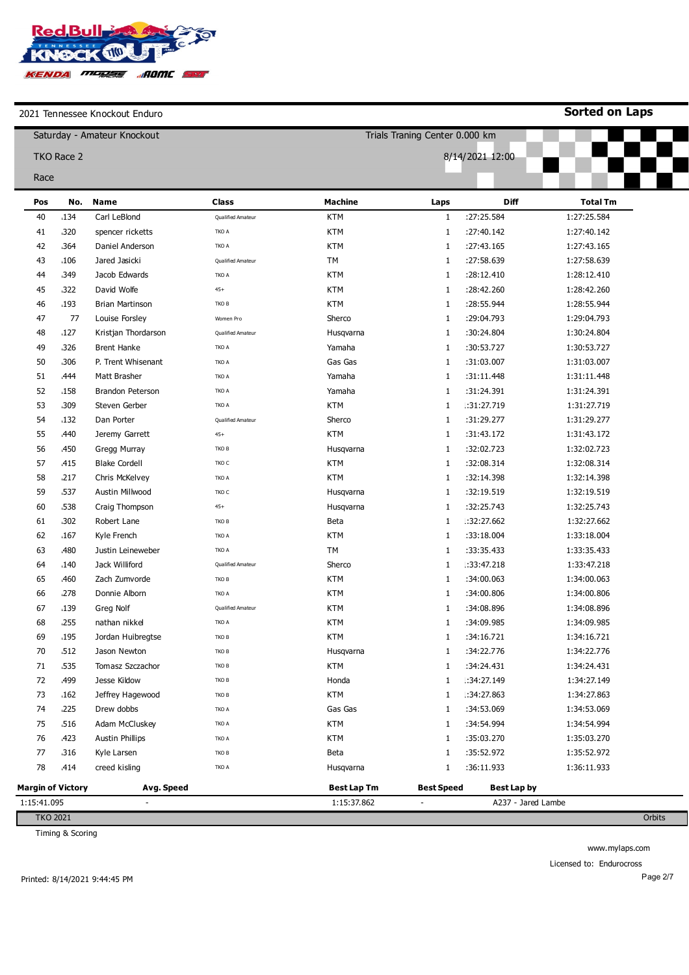

**Sorted on Laps**

|                          |            | Saturday - Amateur Knockout |                          |                    | Trials Traning Center 0.000 km |                    |                 |
|--------------------------|------------|-----------------------------|--------------------------|--------------------|--------------------------------|--------------------|-----------------|
|                          |            |                             |                          |                    |                                |                    |                 |
|                          | TKO Race 2 |                             |                          |                    |                                | 8/14/2021 12:00    |                 |
| Race                     |            |                             |                          |                    |                                |                    |                 |
| Pos                      | No.        | <b>Name</b>                 | <b>Class</b>             | <b>Machine</b>     | Laps                           | <b>Diff</b>        | <b>Total Tm</b> |
| 40                       | .134       | Carl LeBlond                | Qualified Amateur        | <b>KTM</b>         | 1                              | :27:25.584         | 1:27:25.584     |
| 41                       | 320        | spencer ricketts            | TKO A                    | <b>KTM</b>         | $\mathbf{1}$                   | :27:40.142         | 1:27:40.142     |
| 42                       | 364        | Daniel Anderson             | TKO A                    | <b>KTM</b>         | $\mathbf{1}$                   | :27:43.165         | 1:27:43.165     |
| 43                       | .106       | Jared Jasicki               | <b>Oualified Amateur</b> | TМ                 | $\mathbf{1}$                   | :27:58.639         | 1:27:58.639     |
| 44                       | 349        | Jacob Edwards               | TKO A                    | <b>KTM</b>         | 1                              | :28:12.410         | 1:28:12.410     |
| 45                       | 322        | David Wolfe                 | $45+$                    | <b>KTM</b>         | $\mathbf{1}$                   | :28:42.260         | 1:28:42.260     |
| 46                       | ,193       | <b>Brian Martinson</b>      | TKO B                    | <b>KTM</b>         | 1                              | :28:55.944         | 1:28:55.944     |
| 47                       | 77         | Louise Forsley              | Women Pro                | Sherco             | $\mathbf{1}$                   | :29:04.793         | 1:29:04.793     |
| 48                       | .127       | Kristjan Thordarson         | Qualified Amateur        | Husqvarna          | 1                              | :30:24.804         | 1:30:24.804     |
| 49                       | 326        | <b>Brent Hanke</b>          | TKO A                    | Yamaha             | 1                              | :30:53.727         | 1:30:53.727     |
| 50                       | .306       | P. Trent Whisenant          | TKO A                    | Gas Gas            | 1                              | :31:03.007         | 1:31:03.007     |
| 51                       | ,444       | Matt Brasher                | TKO A                    | Yamaha             | 1                              | :31:11.448         | 1:31:11.448     |
| 52                       | .158       | Brandon Peterson            | TKO A                    | Yamaha             | 1                              | :31:24.391         | 1:31:24.391     |
| 53                       | ,309       | Steven Gerber               | TKO A                    | <b>KTM</b>         | $\mathbf{1}$                   | .:31:27.719        | 1:31:27.719     |
| 54                       | .132       | Dan Porter                  | Qualified Amateur        | Sherco             | 1                              | :31:29.277         | 1:31:29.277     |
| 55                       | ,440       | Jeremy Garrett              | $45+$                    | <b>KTM</b>         | 1                              | :31:43.172         | 1:31:43.172     |
| 56                       | <b>450</b> | Gregg Murray                | TKO B                    | Husqvarna          | $\mathbf{1}$                   | :32:02.723         | 1:32:02.723     |
| 57                       | 415        | <b>Blake Cordell</b>        | TKO C                    | <b>KTM</b>         | $\mathbf{1}$                   | :32:08.314         | 1:32:08.314     |
| 58                       | .217       | Chris McKelvey              | TKO A                    | <b>KTM</b>         | 1                              | :32:14.398         | 1:32:14.398     |
| 59                       | 537        | Austin Millwood             | TKO C                    | Husqvarna          | 1                              | :32:19.519         | 1:32:19.519     |
| 60                       | .538       | Craig Thompson              | $45+$                    | Husqvarna          | 1                              | :32:25.743         | 1:32:25.743     |
| 61                       | .302       | Robert Lane                 | TKO B                    | Beta               | 1                              | :32:27.662         | 1:32:27.662     |
| 62                       | .167       | Kyle French                 | TKO A                    | <b>KTM</b>         | $\mathbf{1}$                   | :33:18.004         | 1:33:18.004     |
| 63                       | ,480       | Justin Leineweber           | TKO A                    | TM                 | 1                              | :33:35.433         | 1:33:35.433     |
| 64                       | .140       | Jack Williford              | Qualified Amateur        | Sherco             | 1                              | .: 33: 47.218      | 1:33:47.218     |
| 65                       | ,460       | Zach Zumvorde               | TKO B                    | <b>KTM</b>         | $\mathbf{1}$                   | :34:00.063         | 1:34:00.063     |
| 66                       | .278       | Donnie Alborn               | TKO A                    | <b>KTM</b>         | $\mathbf{1}$                   | :34:00.806         | 1:34:00.806     |
| 67                       | 139        | Greg Nolf                   | Qualified Amateur        | <b>KTM</b>         | 1                              | :34:08.896         | 1:34:08.896     |
| 68                       | .255       | nathan nikkel               | TKO A                    | <b>KTM</b>         | 1                              | :34:09.985         | 1:34:09.985     |
| 69                       | 195        | Jordan Huibregtse           | TKO B                    | <b>KTM</b>         | 1                              | :34:16.721         | 1:34:16.721     |
| 70                       | .512       | Jason Newton                | TKO B                    | Husqvarna          | 1                              | :34:22.776         | 1:34:22.776     |
| 71                       | .535       | Tomasz Szczachor            | TKO B                    | <b>KTM</b>         | 1                              | :34:24.431         | 1:34:24.431     |
| 72                       | ,499       | Jesse Kildow                | TKO B                    | Honda              | 1                              | .: 34: 27.149      | 1:34:27.149     |
| 73                       | .162       | Jeffrey Hagewood            | TKO B                    | <b>KTM</b>         | 1                              | :34:27.863         | 1:34:27.863     |
| 74                       | .225       | Drew dobbs                  | TKO A                    | Gas Gas            | 1                              | :34:53.069         | 1:34:53.069     |
| 75                       | .516       | Adam McCluskey              | TKO A                    | <b>KTM</b>         | 1                              | :34:54.994         | 1:34:54.994     |
| 76                       | <b>423</b> | <b>Austin Phillips</b>      | TKO A                    | <b>KTM</b>         | 1                              | :35:03.270         | 1:35:03.270     |
| 77                       | .316       | Kyle Larsen                 | TKO B                    | Beta               | 1                              | :35:52.972         | 1:35:52.972     |
| 78                       | <b>414</b> | creed kisling               | TKO A                    | Husqvarna          | 1                              | :36:11.933         | 1:36:11.933     |
| <b>Margin of Victory</b> |            | Avg. Speed                  |                          | <b>Best Lap Tm</b> | <b>Best Speed</b>              | Best Lap by        |                 |
| 1:15:41.095              |            |                             |                          | 1:15:37.862        |                                | A237 - Jared Lambe |                 |
| <b>TKO 2021</b>          |            |                             |                          |                    |                                |                    |                 |

Timing & Scoring

www.mylaps.com Licensed to: Endurocross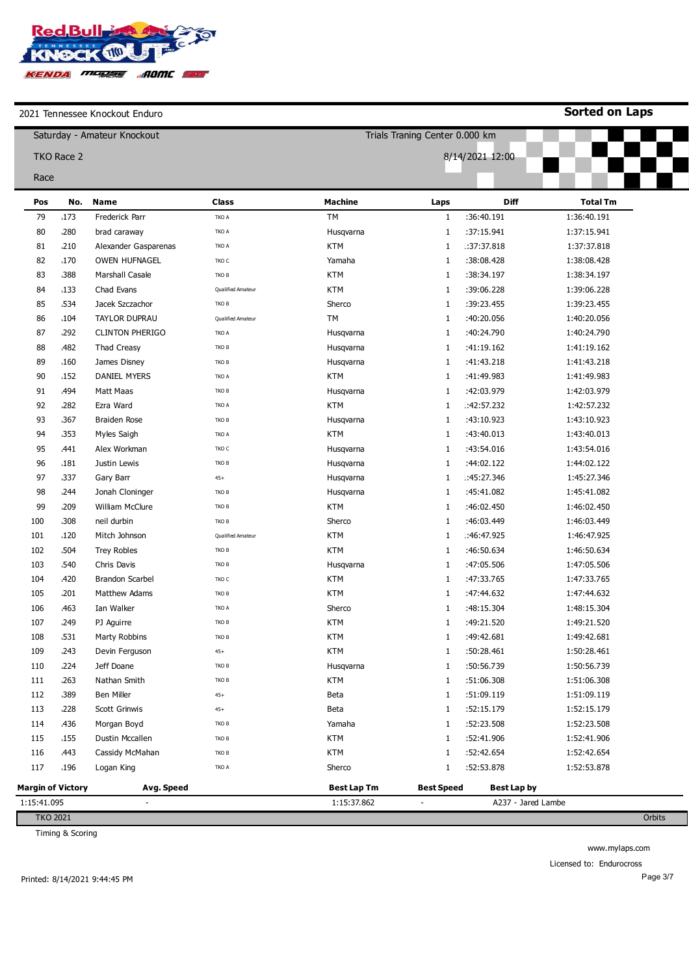

**Sorted on Laps**

|                 |                   | Saturday - Amateur Knockout |                   |                    | Trials Traning Center 0.000 km |                    |                 |        |  |
|-----------------|-------------------|-----------------------------|-------------------|--------------------|--------------------------------|--------------------|-----------------|--------|--|
|                 | TKO Race 2        |                             |                   |                    |                                | 8/14/2021 12:00    |                 |        |  |
|                 |                   |                             |                   |                    |                                |                    |                 |        |  |
| Race            |                   |                             |                   |                    |                                |                    |                 |        |  |
| Pos             | No.               | <b>Name</b>                 | <b>Class</b>      | <b>Machine</b>     | Laps                           | Diff               | <b>Total Tm</b> |        |  |
| 79              | .173              | Frederick Parr              | TKO A             | TM                 | $\mathbf{1}$                   | :36:40.191         | 1:36:40.191     |        |  |
| 80              | .280              | brad caraway                | TKO A             | Husqvarna          | 1                              | :37:15.941         | 1:37:15.941     |        |  |
| 81              | .210              | Alexander Gasparenas        | TKO A             | <b>KTM</b>         | 1                              | .: 37: 37.818      | 1:37:37.818     |        |  |
| 82              | .170              | <b>OWEN HUFNAGEL</b>        | TKO C             | Yamaha             | 1                              | :38:08.428         | 1:38:08.428     |        |  |
| 83              | 388               | <b>Marshall Casale</b>      | TKO B             | <b>KTM</b>         | 1                              | :38:34.197         | 1:38:34.197     |        |  |
| 84              | .133              | Chad Evans                  | Qualified Amateur | <b>KTM</b>         | 1                              | :39:06.228         | 1:39:06.228     |        |  |
| 85              | 534ء              | Jacek Szczachor             | TKO B             | Sherco             | 1                              | :39:23.455         | 1:39:23.455     |        |  |
| 86              | .104              | TAYLOR DUPRAU               | Qualified Amateur | TМ                 | 1                              | :40:20.056         | 1:40:20.056     |        |  |
| 87              | ,292              | <b>CLINTON PHERIGO</b>      | TKO A             | Husqvarna          | 1                              | :40:24.790         | 1:40:24.790     |        |  |
| 88              | .482              | <b>Thad Creasy</b>          | TKO B             | Husqvarna          | 1                              | :41:19.162         | 1:41:19.162     |        |  |
| 89              | .160              | James Disney                | TKO B             | Husqvarna          | 1                              | :41:43.218         | 1:41:43.218     |        |  |
| 90              | 152               | <b>DANIEL MYERS</b>         | TKO A             | <b>KTM</b>         | 1                              | :41:49.983         | 1:41:49.983     |        |  |
| 91              | ,494              | Matt Maas                   | TKO B             | Husqvarna          | 1                              | :42:03.979         | 1:42:03.979     |        |  |
| 92              | .282              | Ezra Ward                   | TKO A             | <b>KTM</b>         | 1                              | :42:57.232         | 1:42:57.232     |        |  |
| 93              | .367              | Braiden Rose                | TKO B             | Husqvarna          | 1                              | :43:10.923         | 1:43:10.923     |        |  |
| 94              | .353              | Myles Saigh                 | TKO A             | <b>KTM</b>         | 1                              | :43:40.013         | 1:43:40.013     |        |  |
| 95              | .441              | Alex Workman                | TKO C             | Husqvarna          | 1                              | :43:54.016         | 1:43:54.016     |        |  |
| 96              | .181              | Justin Lewis                | TKO B             | Husqvarna          | 1                              | :44:02.122         | 1:44:02.122     |        |  |
| 97              | 337               | Gary Barr                   | $45+$             | Husqvarna          | 1                              | .45:27.346         | 1:45:27.346     |        |  |
| 98              | 244ء              | Jonah Cloninger             | TKO B             | Husqvarna          | 1                              | :45:41.082         | 1:45:41.082     |        |  |
| 99              | ,209              | William McClure             | TKO B             | <b>KTM</b>         | 1                              | :46:02.450         | 1:46:02.450     |        |  |
| 100             | .308              | neil durbin                 | TKO B             | Sherco             | 1                              | :46:03.449         | 1:46:03.449     |        |  |
| 101             | 120               | Mitch Johnson               | Qualified Amateur | <b>KTM</b>         | 1                              | :46:47.925         | 1:46:47.925     |        |  |
| 102             | .504              | <b>Trey Robles</b>          | TKO B             | <b>KTM</b>         | 1                              | :46:50.634         | 1:46:50.634     |        |  |
| 103             | .540              | Chris Davis                 | TKO B             | Husqvarna          | 1                              | :47:05.506         | 1:47:05.506     |        |  |
| 104             | ,420              | <b>Brandon Scarbel</b>      | TKO C             | <b>KTM</b>         | 1                              | :47:33.765         | 1:47:33.765     |        |  |
| 105             | .201              | <b>Matthew Adams</b>        | TKO B             | <b>KTM</b>         | 1                              | :47:44.632         | 1:47:44.632     |        |  |
| 106             | .463              | Ian Walker                  | TKO A             | Sherco             | 1                              | :48:15.304         | 1:48:15.304     |        |  |
| 107             | ,249              | PJ Aguirre                  | TKO B             | <b>KTM</b>         | 1                              | :49:21.520         | 1:49:21.520     |        |  |
| 108             | 531،              | Marty Robbins               | TKO B             | <b>KTM</b>         | 1                              | :49:42.681         | 1:49:42.681     |        |  |
| 109             | ,243              | Devin Ferguson              | $45+$             | <b>KTM</b>         | 1                              | :50:28.461         | 1:50:28.461     |        |  |
| 110             | 224               | Jeff Doane                  | TKO B             | Husqvarna          | 1                              | :50:56.739         | 1:50:56.739     |        |  |
| 111             | .263              | Nathan Smith                | TKO B             | <b>KTM</b>         | 1                              | :51:06.308         | 1:51:06.308     |        |  |
| 112             | .389              | Ben Miller                  | $45+$             | Beta               | 1                              | :51:09.119         | 1:51:09.119     |        |  |
| 113             | 228               | Scott Grinwis               | $45+$             | Beta               | 1                              | :52:15.179         | 1:52:15.179     |        |  |
| 114             | 436               | Morgan Boyd                 | TKO B             | Yamaha             | 1                              | :52:23.508         | 1:52:23.508     |        |  |
| 115             | .155              | Dustin Mccallen             | TKO B             | <b>KTM</b>         | 1                              | :52:41.906         | 1:52:41.906     |        |  |
| 116             | ,443              | Cassidy McMahan             | TKO B             | <b>KTM</b>         | 1                              | :52:42.654         | 1:52:42.654     |        |  |
| 117             | 196،              | Logan King                  | TKO A             | Sherco             | 1                              | :52:53.878         | 1:52:53.878     |        |  |
|                 | Margin of Victory | Avg. Speed                  |                   | <b>Best Lap Tm</b> | <b>Best Speed</b>              | Best Lap by        |                 |        |  |
| 1:15:41.095     |                   |                             |                   | 1:15:37.862        |                                | A237 - Jared Lambe |                 |        |  |
| <b>TKO 2021</b> |                   |                             |                   |                    |                                |                    |                 | Orbits |  |

TKO 2021

Timing & Scoring

www.mylaps.com Licensed to: Endurocross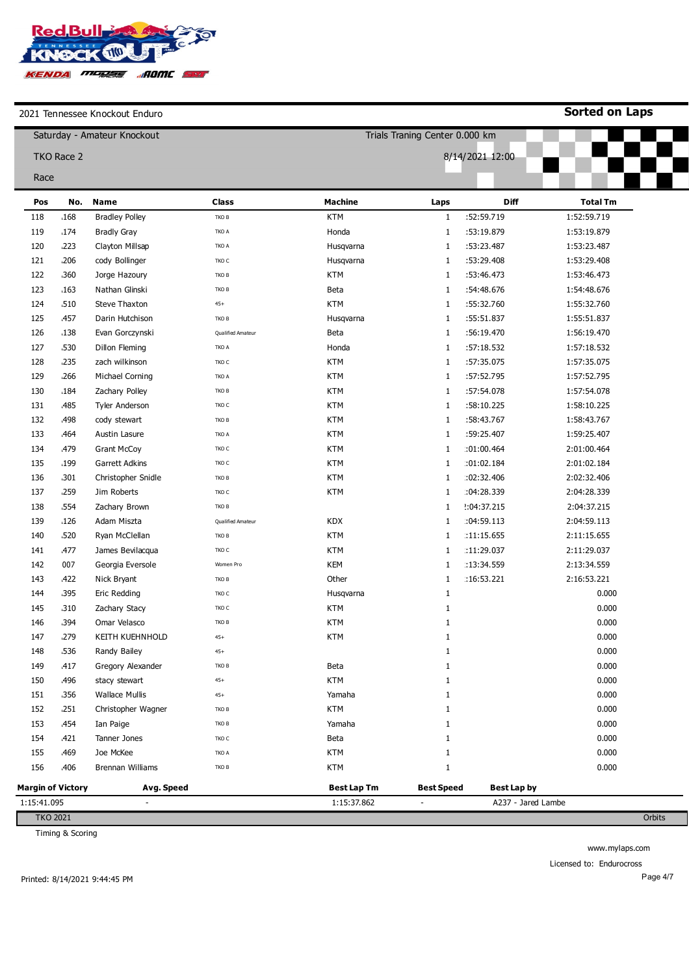

**Sorted on Laps**

|                          | Trials Traning Center 0.000 km<br>Saturday - Amateur Knockout |                       |                   |                    |                   |                    |                 |  |
|--------------------------|---------------------------------------------------------------|-----------------------|-------------------|--------------------|-------------------|--------------------|-----------------|--|
|                          | TKO Race 2                                                    | 8/14/2021 12:00       |                   |                    |                   |                    |                 |  |
| Race                     |                                                               |                       |                   |                    |                   |                    |                 |  |
| Pos                      | No.                                                           | <b>Name</b>           | <b>Class</b>      | <b>Machine</b>     | Laps              | Diff               | <b>Total Tm</b> |  |
| 118                      | .168                                                          | <b>Bradley Polley</b> | TKO B             | <b>KTM</b>         | $\mathbf{1}$      | :52:59.719         | 1:52:59.719     |  |
| 119                      | .174                                                          | <b>Bradly Gray</b>    | TKO A             | Honda              | 1                 | :53:19.879         | 1:53:19.879     |  |
| 120                      | .223                                                          | Clayton Millsap       | TKO A             | Husqvarna          | $\mathbf{1}$      | :53:23.487         | 1:53:23.487     |  |
| 121                      | .206                                                          | cody Bollinger        | TKO C             | Husqvarna          | $\mathbf{1}$      | :53:29.408         | 1:53:29.408     |  |
| 122                      | .360                                                          | Jorge Hazoury         | TKO B             | <b>KTM</b>         | $\mathbf{1}$      | :53:46.473         | 1:53:46.473     |  |
| 123                      | .163                                                          | Nathan Glinski        | TKO B             | Beta               | $\mathbf{1}$      | :54:48.676         | 1:54:48.676     |  |
| 124                      | 510                                                           | <b>Steve Thaxton</b>  | $45+$             | <b>KTM</b>         | $\mathbf{1}$      | :55:32.760         | 1:55:32.760     |  |
| 125                      | ,457                                                          | Darin Hutchison       | TKO B             | Husqvarna          | $\mathbf{1}$      | :55:51.837         | 1:55:51.837     |  |
| 126                      | 138                                                           | Evan Gorczynski       | Qualified Amateur | Beta               | $\mathbf{1}$      | :56:19.470         | 1:56:19.470     |  |
| 127                      | 530                                                           | Dillon Fleming        | TKO A             | Honda              | 1                 | :57:18.532         | 1:57:18.532     |  |
| 128                      | 235،                                                          | zach wilkinson        | TKO C             | <b>KTM</b>         | $\mathbf{1}$      | :57:35.075         | 1:57:35.075     |  |
| 129                      | .266                                                          | Michael Corning       | TKO A             | <b>KTM</b>         | $\mathbf{1}$      | :57:52.795         | 1:57:52.795     |  |
| 130                      | .184                                                          | Zachary Polley        | TKO B             | KTM                | $\mathbf{1}$      | :57:54.078         | 1:57:54.078     |  |
| 131                      | .485                                                          | <b>Tyler Anderson</b> | TKO C             | <b>KTM</b>         | $\mathbf{1}$      | :58:10.225         | 1:58:10.225     |  |
| 132                      | ,498                                                          | cody stewart          | TKO B             | <b>KTM</b>         | $\mathbf{1}$      | :58:43.767         | 1:58:43.767     |  |
| 133                      | .464                                                          | Austin Lasure         | TKO A             | <b>KTM</b>         | $\mathbf{1}$      | :59:25.407         | 1:59:25.407     |  |
| 134                      | ,479                                                          | <b>Grant McCoy</b>    | TKO C             | <b>KTM</b>         | $\mathbf{1}$      | :01:00.464         | 2:01:00.464     |  |
| 135                      | 199                                                           | Garrett Adkins        | TKO C             | KTM                | $\mathbf{1}$      | :01:02.184         | 2:01:02.184     |  |
| 136                      | .301                                                          | Christopher Snidle    | TKO B             | KTM                | 1                 | :02:32.406         | 2:02:32.406     |  |
| 137                      | .259                                                          | Jim Roberts           | TKO C             | <b>KTM</b>         | $\mathbf{1}$      | :04:28.339         | 2:04:28.339     |  |
| 138                      | .554                                                          | Zachary Brown         | TKO B             |                    | $\mathbf{1}$      | 2.04:37.215        | 2:04:37.215     |  |
| 139                      | .126                                                          | Adam Miszta           | Qualified Amateur | <b>KDX</b>         | $\mathbf{1}$      | :04:59.113         | 2:04:59.113     |  |
| 140                      | 520                                                           | Ryan McClellan        | TKO B             | <b>KTM</b>         | 1                 | :11:15.655         | 2:11:15.655     |  |
| 141                      | <b>477</b>                                                    | James Bevilacqua      | TKO C             | <b>KTM</b>         | $\mathbf{1}$      | :11:29.037         | 2:11:29.037     |  |
| 142                      | 007                                                           | Georgia Eversole      | Women Pro         | KEM                | 1                 | :13:34.559         | 2:13:34.559     |  |
| 143                      | 422                                                           | Nick Bryant           | TKO B             | Other              | 1                 | :16:53.221         | 2:16:53.221     |  |
| 144                      | .395                                                          | Eric Redding          | TKO C             | Husqvarna          | $\mathbf{1}$      |                    | 0.000           |  |
| 145                      | .310                                                          | Zachary Stacy         | TKO C             | <b>KTM</b>         | 1                 |                    | 0.000           |  |
| 146                      | .394                                                          | Omar Velasco          | TKO B             | <b>KTM</b>         | $\mathbf{1}$      |                    | 0.000           |  |
| 147                      | 279                                                           | KEITH KUEHNHOLD       | $45+$             | <b>KTM</b>         |                   |                    | 0.000           |  |
| 148                      | 536،                                                          | Randy Bailey          | $45+$             |                    | 1                 |                    | 0.000           |  |
| 149                      | .417                                                          | Gregory Alexander     | TKO B             | Beta               | 1                 |                    | 0.000           |  |
| 150                      | ,496                                                          | stacy stewart         | $45+$             | <b>KTM</b>         | 1                 |                    | 0.000           |  |
| 151                      | 356،                                                          | <b>Wallace Mullis</b> | $45+$             | Yamaha             | 1                 |                    | 0.000           |  |
| 152                      | .251                                                          | Christopher Wagner    | TKO B             | <b>KTM</b>         | 1                 |                    | 0.000           |  |
| 153                      | <b>454</b>                                                    | Ian Paige             | TKO B             | Yamaha             | 1                 |                    | 0.000           |  |
| 154                      | .421                                                          | Tanner Jones          | TKO C             | Beta               | 1                 |                    | 0.000           |  |
| 155                      | .469                                                          | Joe McKee             | TKO A             | KTM                | 1                 |                    | 0.000           |  |
| 156                      | ,406                                                          | Brennan Williams      | TKO B             | KTM                | 1                 |                    | 0.000           |  |
| <b>Margin of Victory</b> |                                                               | Avg. Speed            |                   | <b>Best Lap Tm</b> | <b>Best Speed</b> | <b>Best Lap by</b> |                 |  |
| 1:15:41.095              |                                                               |                       |                   | 1:15:37.862        |                   | A237 - Jared Lambe |                 |  |
| <b>TKO 2021</b>          |                                                               |                       |                   |                    |                   |                    |                 |  |

Timing & Scoring

www.mylaps.com

Licensed to: Endurocross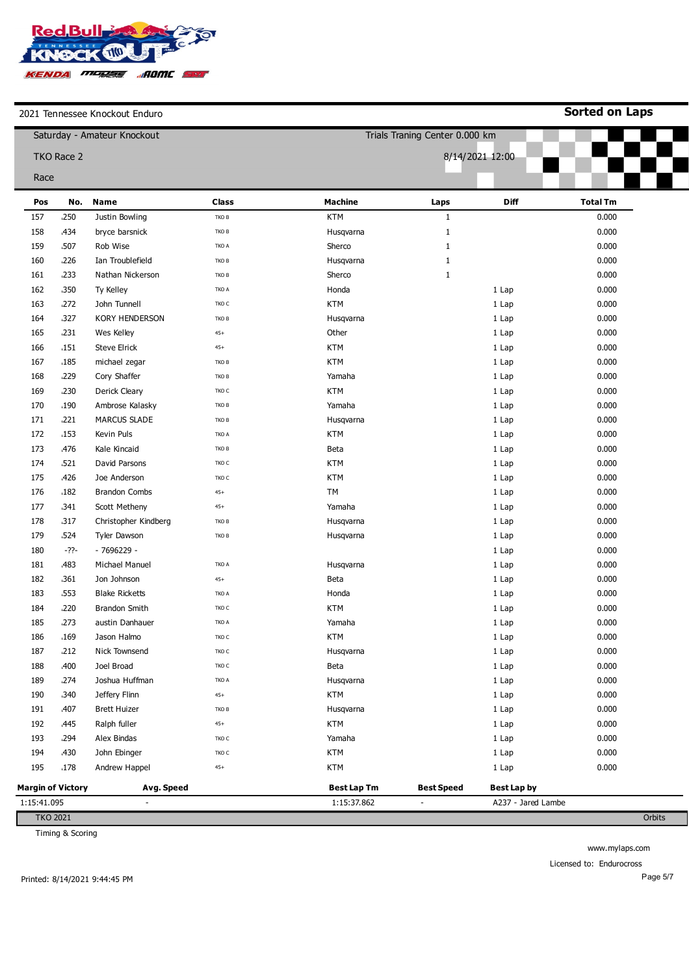

**Sorted on Laps**

| ZUZI TEHIRSSEE NHUCKUUL LHUUHU |                          |                             |              |                    |                                |                    |                 |  |  |
|--------------------------------|--------------------------|-----------------------------|--------------|--------------------|--------------------------------|--------------------|-----------------|--|--|
|                                |                          | Saturday - Amateur Knockout |              |                    | Trials Traning Center 0.000 km |                    |                 |  |  |
|                                | TKO Race 2               |                             |              |                    | 8/14/2021 12:00                |                    |                 |  |  |
| Race                           |                          |                             |              |                    |                                |                    |                 |  |  |
|                                |                          |                             |              |                    |                                |                    |                 |  |  |
| Pos                            | No.                      | <b>Name</b>                 | <b>Class</b> | <b>Machine</b>     | Laps                           | <b>Diff</b>        | <b>Total Tm</b> |  |  |
| 157                            | 250                      | Justin Bowling              | TKO B        | <b>KTM</b>         | $\mathbf{1}$                   |                    | 0.000           |  |  |
| 158                            | .434                     | bryce barsnick              | TKO B        | Husqvarna          | $\mathbf{1}$                   |                    | 0.000           |  |  |
| 159                            | 507                      | Rob Wise                    | TKO A        | Sherco             | $\mathbf{1}$                   |                    | 0.000           |  |  |
| 160                            | 226                      | Ian Troublefield            | TKO B        | Husqvarna          | $\mathbf{1}$                   |                    | 0.000           |  |  |
| 161                            | 233                      | Nathan Nickerson            | TKO B        | Sherco             | $\mathbf{1}$                   |                    | 0.000           |  |  |
| 162                            | 350                      | Ty Kelley                   | TKO A        | Honda              |                                | 1 Lap              | 0.000           |  |  |
| 163                            | 272                      | John Tunnell                | TKO C        | <b>KTM</b>         |                                | 1 Lap              | 0.000           |  |  |
| 164                            | .327                     | <b>KORY HENDERSON</b>       | TKO B        | Husqvarna          |                                | 1 Lap              | 0.000           |  |  |
| 165                            | .231                     | Wes Kelley                  | $45+$        | Other              |                                | 1 Lap              | 0.000           |  |  |
| 166                            | .151                     | <b>Steve Elrick</b>         | $45+$        | <b>KTM</b>         |                                | 1 Lap              | 0.000           |  |  |
| 167                            | .185                     | michael zegar               | TKO B        | <b>KTM</b>         |                                | 1 Lap              | 0.000           |  |  |
| 168                            | 229                      | Cory Shaffer                | TKO B        | Yamaha             |                                | 1 Lap              | 0.000           |  |  |
| 169                            | .230                     | Derick Cleary               | TKO C        | <b>KTM</b>         |                                | 1 Lap              | 0.000           |  |  |
| 170                            | .190                     | Ambrose Kalasky             | TKO B        | Yamaha             |                                | 1 Lap              | 0.000           |  |  |
| 171                            | 221                      | <b>MARCUS SLADE</b>         | TKO B        | Husqvarna          |                                | 1 Lap              | 0.000           |  |  |
| 172                            | .153                     | Kevin Puls                  | TKO A        | <b>KTM</b>         |                                | 1 Lap              | 0.000           |  |  |
| 173                            | .476                     | Kale Kincaid                | TKO B        | Beta               |                                | 1 Lap              | 0.000           |  |  |
| 174                            | 521                      | David Parsons               | TKO C        | <b>KTM</b>         |                                | 1 Lap              | 0.000           |  |  |
| 175                            | .426                     | Joe Anderson                | TKO C        | <b>KTM</b>         |                                | 1 Lap              | 0.000           |  |  |
| 176                            | .182                     | <b>Brandon Combs</b>        | $45+$        | <b>TM</b>          |                                | 1 Lap              | 0.000           |  |  |
| 177                            | .341                     | Scott Metheny               | $45+$        | Yamaha             |                                | 1 Lap              | 0.000           |  |  |
| 178                            | 317                      | Christopher Kindberg        | TKO B        | Husqvarna          |                                | 1 Lap              | 0.000           |  |  |
| 179                            | .524                     | <b>Tyler Dawson</b>         | TKO B        | Husqvarna          |                                | 1 Lap              | 0.000           |  |  |
| 180                            | -??-                     | $-7696229 -$                |              |                    |                                | 1 Lap              | 0.000           |  |  |
| 181                            | .483                     | Michael Manuel              | TKO A        | Husqvarna          |                                | 1 Lap              | 0.000           |  |  |
| 182                            | .361                     | Jon Johnson                 | $45+$        | Beta               |                                | 1 Lap              | 0.000           |  |  |
| 183                            | .553                     | <b>Blake Ricketts</b>       | TKO A        | Honda              |                                | 1 Lap              | 0.000           |  |  |
| 184                            | 220                      | <b>Brandon Smith</b>        | TKO C        | <b>KTM</b>         |                                | 1 Lap              | 0.000           |  |  |
| 185                            | ,273                     | austin Danhauer             | TKO A        | Yamaha             |                                | 1 Lap              | 0.000           |  |  |
| 186                            | 169                      | Jason Halmo                 | TKO C        | <b>KTM</b>         |                                | 1 Lap              | 0.000           |  |  |
| 187                            | 212                      | Nick Townsend               | TKO C        | Husqvarna          |                                | 1 Lap              | 0.000           |  |  |
| 188                            | .400                     | Joel Broad                  | TKO C        | Beta               |                                | 1 Lap              | 0.000           |  |  |
| 189                            | 274                      | Joshua Huffman              | TKO A        | Husqvarna          |                                | 1 Lap              | 0.000           |  |  |
| 190                            | .340                     | Jeffery Flinn               | $45+$        | <b>KTM</b>         |                                | 1 Lap              | 0.000           |  |  |
| 191                            | .407                     | <b>Brett Huizer</b>         | TKO B        | Husqvarna          |                                | 1 Lap              | 0.000           |  |  |
| 192                            | .445                     | Ralph fuller                | $45+$        | <b>KTM</b>         |                                | 1 Lap              | 0.000           |  |  |
| 193                            | ,294                     | Alex Bindas                 | TKO C        | Yamaha             |                                | 1 Lap              | 0.000           |  |  |
| 194                            | .430                     | John Ebinger                | TKO C        | <b>KTM</b>         |                                | 1 Lap              | 0.000           |  |  |
| 195                            | .178                     | Andrew Happel               | $45+$        | <b>KTM</b>         |                                | 1 Lap              | 0.000           |  |  |
|                                |                          |                             |              |                    |                                |                    |                 |  |  |
|                                | <b>Margin of Victory</b> | Avg. Speed                  |              | <b>Best Lap Tm</b> | <b>Best Speed</b>              | <b>Best Lap by</b> |                 |  |  |
| 1:15:41.095                    |                          | $\overline{a}$              |              | 1:15:37.862        | $\overline{\phantom{a}}$       | A237 - Jared Lambe |                 |  |  |

Timing & Scoring

www.mylaps.com

Licensed to: Endurocross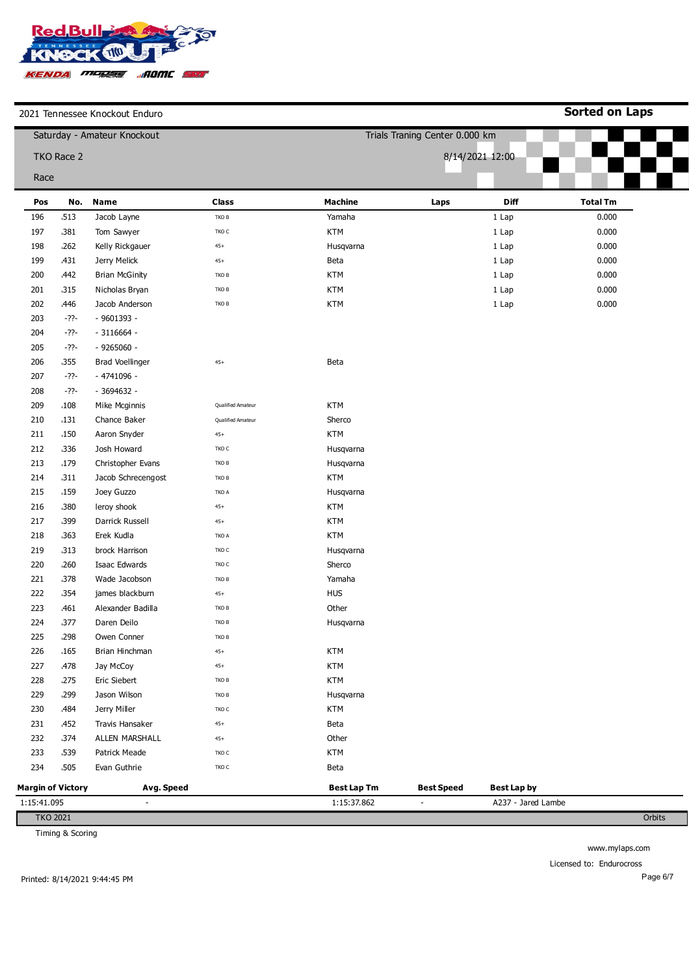

**Sorted on Laps**

| 2021 TCHINGSSCC INTOCKOUL ETIQUI O<br>Saturday - Amateur Knockout |                          |                          |                   |                    |                                |                    |                 |  |  |
|-------------------------------------------------------------------|--------------------------|--------------------------|-------------------|--------------------|--------------------------------|--------------------|-----------------|--|--|
|                                                                   |                          |                          |                   |                    | Trials Traning Center 0.000 km |                    |                 |  |  |
|                                                                   | TKO Race 2               |                          |                   |                    |                                | 8/14/2021 12:00    |                 |  |  |
| Race                                                              |                          |                          |                   |                    |                                |                    |                 |  |  |
| Pos                                                               | No.                      | <b>Name</b>              | <b>Class</b>      | <b>Machine</b>     | Laps                           | Diff               | <b>Total Tm</b> |  |  |
| 196                                                               | 513                      | Jacob Layne              | ${\tt TKO}$ B     | Yamaha             |                                | 1 Lap              | 0.000           |  |  |
| 197                                                               | .381                     | Tom Sawyer               | TKO C             | <b>KTM</b>         |                                | 1 Lap              | 0.000           |  |  |
| 198                                                               | .262                     | Kelly Rickgauer          | $45+$             | Husqvarna          |                                | 1 Lap              | 0.000           |  |  |
| 199                                                               | 431                      | Jerry Melick             | $45+$             | Beta               |                                | 1 Lap              | 0.000           |  |  |
| 200                                                               | ,442                     | <b>Brian McGinity</b>    | TKO B             | <b>KTM</b>         |                                | 1 Lap              | 0.000           |  |  |
| 201                                                               | 315                      | Nicholas Bryan           | TKO B             | KTM                |                                | 1 Lap              | 0.000           |  |  |
| 202                                                               | .446                     | Jacob Anderson           | ${\tt TKO}$ B     | <b>KTM</b>         |                                | 1 Lap              | 0.000           |  |  |
| 203                                                               | $-22-$                   | - 9601393 -              |                   |                    |                                |                    |                 |  |  |
| 204                                                               | -??-                     | $-3116664 -$             |                   |                    |                                |                    |                 |  |  |
| 205                                                               | $-22-$                   | $-9265060 -$             |                   |                    |                                |                    |                 |  |  |
| 206                                                               | .355                     | <b>Brad Voellinger</b>   | $45+$             | Beta               |                                |                    |                 |  |  |
| 207                                                               | -??-                     | - 4741096 -              |                   |                    |                                |                    |                 |  |  |
| 208                                                               | -??-                     | - 3694632 -              |                   |                    |                                |                    |                 |  |  |
| 209                                                               | .108                     | Mike Mcginnis            | Qualified Amateur | <b>KTM</b>         |                                |                    |                 |  |  |
| 210                                                               | .131                     | Chance Baker             | Qualified Amateur | Sherco             |                                |                    |                 |  |  |
| 211                                                               | .150                     | Aaron Snyder             | $45+$             | <b>KTM</b>         |                                |                    |                 |  |  |
| 212                                                               | 336                      | Josh Howard              | TKO C             | Husqvarna          |                                |                    |                 |  |  |
| 213                                                               | 179                      | Christopher Evans        | TKO B             | Husqvarna          |                                |                    |                 |  |  |
| 214                                                               | 311                      | Jacob Schrecengost       | ${\tt TKO}$ B     | <b>KTM</b>         |                                |                    |                 |  |  |
| 215                                                               | 159                      | Joey Guzzo               | TKO A             | Husqvarna          |                                |                    |                 |  |  |
| 216                                                               | .380                     | leroy shook              | $45+$             | <b>KTM</b>         |                                |                    |                 |  |  |
| 217                                                               | 399                      | Darrick Russell          | $45+$             | <b>KTM</b>         |                                |                    |                 |  |  |
| 218                                                               | .363                     | Erek Kudla               | TKO A             | <b>KTM</b>         |                                |                    |                 |  |  |
| 219                                                               | .313                     | brock Harrison           | $TKOC$            | Husqvarna          |                                |                    |                 |  |  |
| 220                                                               | .260                     | Isaac Edwards            | $TKOC$            | Sherco             |                                |                    |                 |  |  |
| 221                                                               | 378                      | Wade Jacobson            | TKO B             | Yamaha             |                                |                    |                 |  |  |
| 222                                                               | 354                      | james blackburn          | $45+$             | <b>HUS</b>         |                                |                    |                 |  |  |
| 223                                                               | .461                     | Alexander Badilla        | TKO B             | Other              |                                |                    |                 |  |  |
| 224                                                               | .377                     | Daren Deilo              | TKO B             | Husqvarna          |                                |                    |                 |  |  |
| 225                                                               | 298                      | Owen Conner              | тко в             |                    |                                |                    |                 |  |  |
| 226                                                               | .165                     | Brian Hinchman           | $45+$             | KTM                |                                |                    |                 |  |  |
| 227                                                               | <b>478</b>               | Jay McCoy                | $45+$             | KTM                |                                |                    |                 |  |  |
| 228                                                               | 275                      | Eric Siebert             | TKO B             | <b>KTM</b>         |                                |                    |                 |  |  |
| 229                                                               | ,299                     | Jason Wilson             | TKO B             | Husqvarna          |                                |                    |                 |  |  |
| 230                                                               | ,484                     | Jerry Miller             | TKO C             | <b>KTM</b>         |                                |                    |                 |  |  |
| 231                                                               | <b>452</b>               | Travis Hansaker          | $45+$             | Beta               |                                |                    |                 |  |  |
| 232                                                               | 374                      | ALLEN MARSHALL           | $45+$             | Other              |                                |                    |                 |  |  |
| 233                                                               | 539                      | Patrick Meade            | TKO C             | KTM                |                                |                    |                 |  |  |
| 234                                                               | .505                     | Evan Guthrie             | $TKOC$            | <b>Beta</b>        |                                |                    |                 |  |  |
|                                                                   | <b>Margin of Victory</b> | Avg. Speed               |                   | <b>Best Lap Tm</b> | <b>Best Speed</b>              | <b>Best Lap by</b> |                 |  |  |
| 1:15:41.095                                                       |                          | $\overline{\phantom{a}}$ |                   | 1:15:37.862        | $\blacksquare$                 | A237 - Jared Lambe |                 |  |  |
| <b>TKO 2021</b>                                                   |                          |                          |                   |                    |                                |                    | Orbits          |  |  |

Timing & Scoring

www.mylaps.com

Licensed to: Endurocross